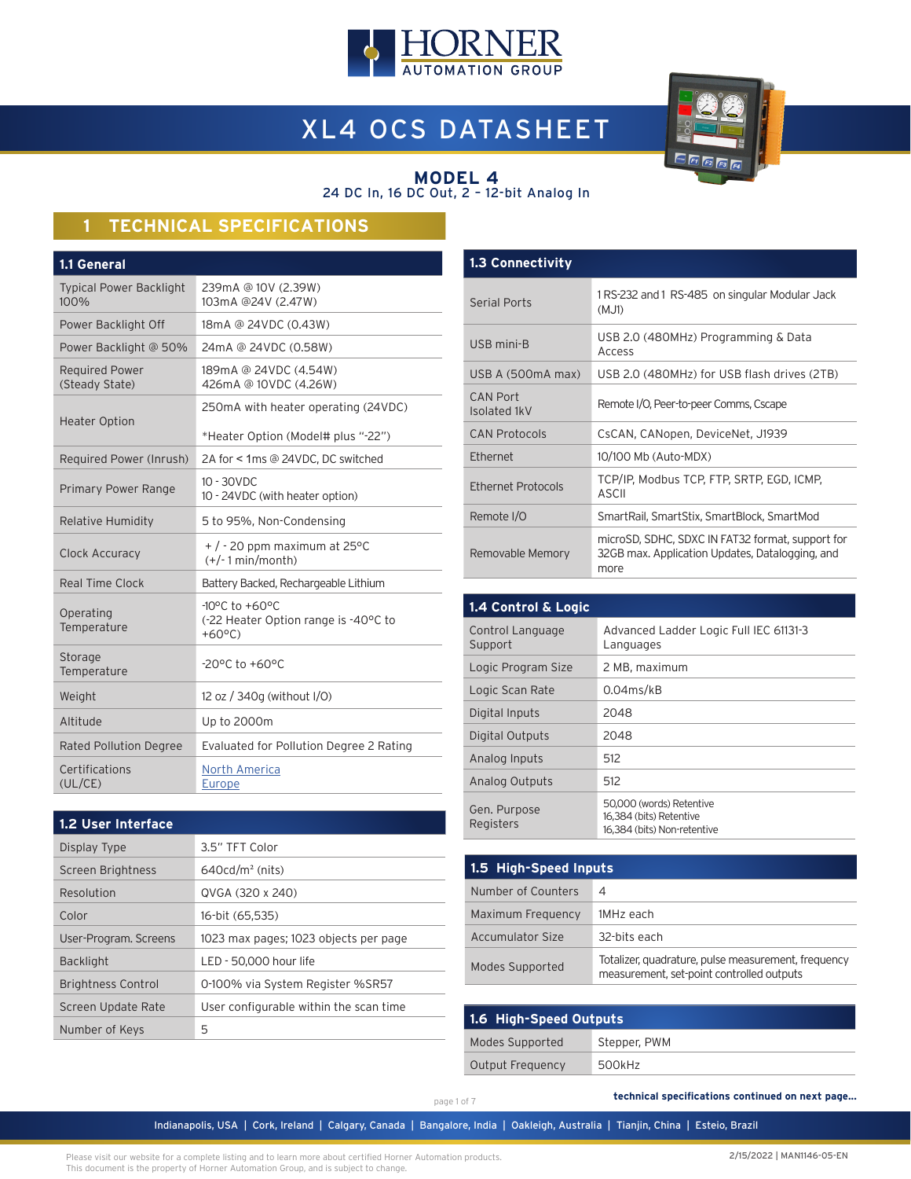

# XL4 OCS DATASHEET



#### **MODEL 4** 24 DC In, 16 DC Out, 2 – 12-bit Analog In

# **1 TECHNICAL SPECIFICATIONS**

| 239mA @ 10V (2.39W)<br>103mA @24V (2.47W)                                                      |
|------------------------------------------------------------------------------------------------|
| 18mA @ 24VDC (0.43W)                                                                           |
| 24mA @ 24VDC (0.58W)                                                                           |
| 189mA @ 24VDC (4.54W)<br>426mA @ 10VDC (4.26W)                                                 |
| 250mA with heater operating (24VDC)                                                            |
| *Heater Option (Model# plus "-22")                                                             |
| 2A for < 1ms @ 24VDC, DC switched                                                              |
| $10 - 30$ VDC<br>10 - 24VDC (with heater option)                                               |
| 5 to 95%, Non-Condensing                                                                       |
| $+$ / - 20 ppm maximum at 25°C<br>$(+/-1$ min/month)                                           |
| Battery Backed, Rechargeable Lithium                                                           |
| $-10^{\circ}$ C to $+60^{\circ}$ C<br>(-22 Heater Option range is -40°C to<br>$+60^{\circ}$ C) |
| $-20^{\circ}$ C to $+60^{\circ}$ C                                                             |
| 12 oz / 340g (without I/O)                                                                     |
| Up to 2000m                                                                                    |
| Evaluated for Pollution Degree 2 Rating                                                        |
| North America<br>Europe                                                                        |
|                                                                                                |

| <b>1.2 User Interface</b> |                                        |
|---------------------------|----------------------------------------|
| Display Type              | 3.5" TFT Color                         |
| Screen Brightness         | $640cd/m2$ (nits)                      |
| Resolution                | QVGA (320 x 240)                       |
| Color                     | 16-bit (65.535)                        |
| User-Program. Screens     | 1023 max pages; 1023 objects per page  |
| <b>Backlight</b>          | LED - 50,000 hour life                 |
| <b>Brightness Control</b> | 0-100% via System Register %SR57       |
| Screen Update Rate        | User configurable within the scan time |
| Number of Keys            | 5                                      |

| <b>1.3 Connectivity</b>         |                                                                                                             |
|---------------------------------|-------------------------------------------------------------------------------------------------------------|
| <b>Serial Ports</b>             | 1 RS-232 and 1 RS-485 on singular Modular Jack<br>(MJ1)                                                     |
| USB mini-B                      | USB 2.0 (480MHz) Programming & Data<br>Access                                                               |
| USB A (500mA max)               | USB 2.0 (480MHz) for USB flash drives (2TB)                                                                 |
| <b>CAN Port</b><br>Isolated 1kV | Remote I/O, Peer-to-peer Comms, Cscape                                                                      |
| <b>CAN Protocols</b>            | CsCAN, CANopen, DeviceNet, J1939                                                                            |
| <b>Fthernet</b>                 | 10/100 Mb (Auto-MDX)                                                                                        |
| Ethernet Protocols              | TCP/IP, Modbus TCP, FTP, SRTP, EGD, ICMP,<br>ASCII                                                          |
| Remote I/O                      | SmartRail, SmartStix, SmartBlock, SmartMod                                                                  |
| Removable Memory                | microSD, SDHC, SDXC IN FAT32 format, support for<br>32GB max. Application Updates, Datalogging, and<br>more |

| 1.4 Control & Logic         |                                                                                    |
|-----------------------------|------------------------------------------------------------------------------------|
| Control Language<br>Support | Advanced Ladder Logic Full IEC 61131-3<br>Languages                                |
| Logic Program Size          | 2 MB, maximum                                                                      |
| Logic Scan Rate             | $0.04$ ms/kB                                                                       |
| Digital Inputs              | 2048                                                                               |
| Digital Outputs             | 2048                                                                               |
| Analog Inputs               | 512                                                                                |
| Analog Outputs              | 512                                                                                |
| Gen. Purpose<br>Registers   | 50,000 (words) Retentive<br>16,384 (bits) Retentive<br>16.384 (bits) Non-retentive |

| 1.5 High-Speed Inputs |                                                                                                  |  |
|-----------------------|--------------------------------------------------------------------------------------------------|--|
| Number of Counters    | 4                                                                                                |  |
| Maximum Frequency     | 1MHz each                                                                                        |  |
| Accumulator Size      | 32-bits each                                                                                     |  |
| Modes Supported       | Totalizer, quadrature, pulse measurement, frequency<br>measurement, set-point controlled outputs |  |

| 1.6 High-Speed Outputs |              |  |
|------------------------|--------------|--|
| Modes Supported        | Stepper, PWM |  |
| Output Frequency       | 500kHz       |  |

page 1 of 7

 **technical specifications continued on next page...**

Indianapolis, USA | Cork, Ireland | Calgary, Canada | Bangalore, India | Oakleigh, Australia | Tianjin, China | Esteio, Brazil

Please visit our website for a complete listing and to learn more about certified Horner Automation products. This document is the property of Horner Automation Group, and is subject to change.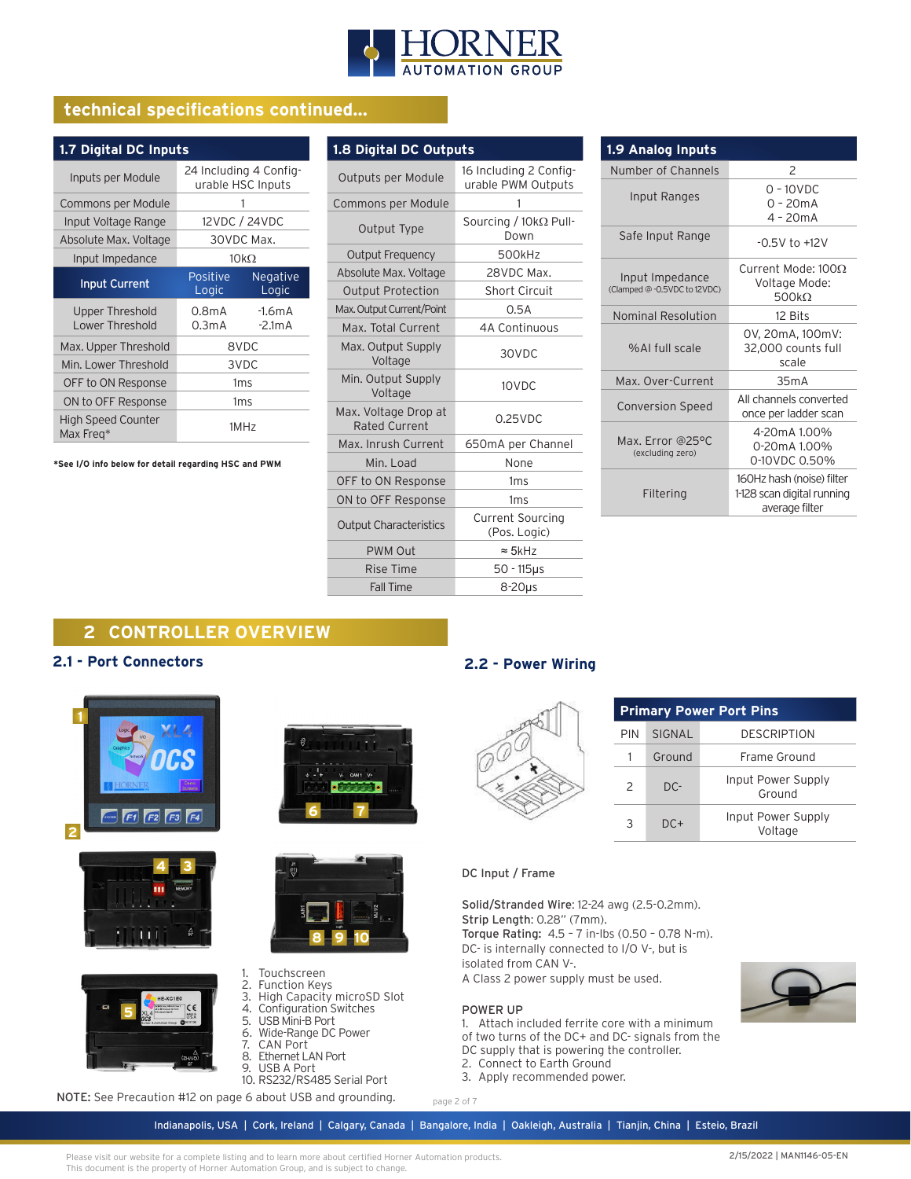

# **technical specifications continued...**

| 1.7 Digital DC Inputs                     |                   |                                             |
|-------------------------------------------|-------------------|---------------------------------------------|
| Inputs per Module                         |                   | 24 Including 4 Config-<br>urable HSC Inputs |
| Commons per Module                        |                   |                                             |
| Input Voltage Range                       |                   | 12VDC / 24VDC                               |
| Absolute Max. Voltage                     |                   | 30VDC Max.                                  |
| Input Impedance                           |                   | $10k\Omega$                                 |
| <b>Input Current</b>                      | Positive<br>Logic | <b>Negative</b><br>Logic                    |
| <b>Upper Threshold</b><br>Lower Threshold | 0.8mA<br>0.3mA    | $-1.6mA$<br>$-2.1mA$                        |
| Max. Upper Threshold                      |                   | 8VDC                                        |
| Min. Lower Threshold                      |                   | 3VDC                                        |
| OFF to ON Response                        |                   | 1ms                                         |
| ON to OFF Response                        |                   | 1 <sub>ms</sub>                             |
| <b>High Speed Counter</b><br>Max Freg*    |                   | 1MHz                                        |

**\*See I/O info below for detail regarding HSC and PWM**

| 1.8 Digital DC Outputs                       |                                              |  |
|----------------------------------------------|----------------------------------------------|--|
| Outputs per Module                           | 16 Including 2 Config-<br>urable PWM Outputs |  |
| Commons per Module                           | 1                                            |  |
| Output Type                                  | Sourcing / $10k\Omega$ Pull-<br>Down         |  |
| <b>Output Frequency</b>                      | 500kHz                                       |  |
| Absolute Max. Voltage                        | 28VDC Max.                                   |  |
| <b>Output Protection</b>                     | <b>Short Circuit</b>                         |  |
| Max. Output Current/Point                    | 0.5A                                         |  |
| Max. Total Current                           | 4A Continuous                                |  |
| Max. Output Supply<br>Voltage                | 30VDC                                        |  |
| Min. Output Supply<br>Voltage                | 10VDC                                        |  |
| Max. Voltage Drop at<br><b>Rated Current</b> | $0.25$ VDC                                   |  |
| Max. Inrush Current                          | 650mA per Channel                            |  |
| Min. Load                                    | None                                         |  |
| OFF to ON Response                           | 1ms                                          |  |
| ON to OFF Response                           | 1ms                                          |  |
| <b>Output Characteristics</b>                | <b>Current Sourcing</b><br>(Pos. Logic)      |  |
| <b>PWM Out</b>                               | $\approx$ 5kHz                               |  |
| Rise Time                                    | 50 - 115µs                                   |  |
| Fall Time                                    | $8-20\mu s$                                  |  |

| 1.9 Analog Inputs                               |                                                                           |
|-------------------------------------------------|---------------------------------------------------------------------------|
| Number of Channels                              | $\mathcal{P}$                                                             |
| Input Ranges                                    | $0 - 10$ VDC<br>$0 - 20mA$<br>$4 - 20mA$                                  |
| Safe Input Range                                | $-0.5V$ to $+12V$                                                         |
| Input Impedance<br>(Clamped @ -0.5VDC to 12VDC) | Current Mode: 1000<br>Voltage Mode:<br>500 $k\Omega$                      |
| Nominal Resolution                              | 12 Bits                                                                   |
| %AI full scale                                  | 0V, 20mA, 100mV:<br>32,000 counts full<br>scale                           |
| Max. Over-Current                               | 35mA                                                                      |
| <b>Conversion Speed</b>                         | All channels converted<br>once per ladder scan                            |
| Max. Error @25°C<br>(excluding zero)            | 4-20mA 1.00%<br>0-20mA 1.00%<br>0-10VDC 0.50%                             |
| Filtering                                       | 160Hz hash (noise) filter<br>1-128 scan digital running<br>average filter |

**Port Pins** 

DESCRIPTION Frame Ground Input Power Supply Ground Input Power Supply Voltage

# **2 CONTROLLER OVERVIEW**

### **2.1 - Port Connectors**





**5**

 $|C \in$ 





### 1. Touchscreen

- 2. Function Keys
- 3. High Capacity microSD Slot 4. Configuration Switches
- 5. USB Mini-B Port
- 6. Wide-Range DC Power
- 7. CAN Port
- 8. Ethernet LAN Port
- 9. USB A Port
- 10. RS232/RS485 Serial Port

NOTE: See Precaution #12 on page 6 about USB and grounding.

This document is the property of Horner Automation Group, and is subject to change.

Please visit our website for a complete listing and to learn more about certified Horner Automation products.

## **2.2 - Power Wiring**

| <b>Primary Power</b> |        |  |
|----------------------|--------|--|
| <b>PIN</b>           | SIGNAL |  |
|                      | Ground |  |
| $\mathcal{P}$        | DC-    |  |
|                      | $DC+$  |  |

#### DC Input / Frame

Solid/Stranded Wire: 12-24 awg (2.5-0.2mm). Strip Length: 0.28" (7mm).

Torque Rating: 4.5 – 7 in-lbs (0.50 – 0.78 N-m). DC- is internally connected to I/O V-, but is isolated from CAN V-.

A Class 2 power supply must be used.

#### POWER UP

- 1. Attach included ferrite core with a minimum
- of two turns of the DC+ and DC- signals from the
- DC supply that is powering the controller.
- 2. Connect to Earth Ground
- 3. Apply recommended power.



page 2 of 7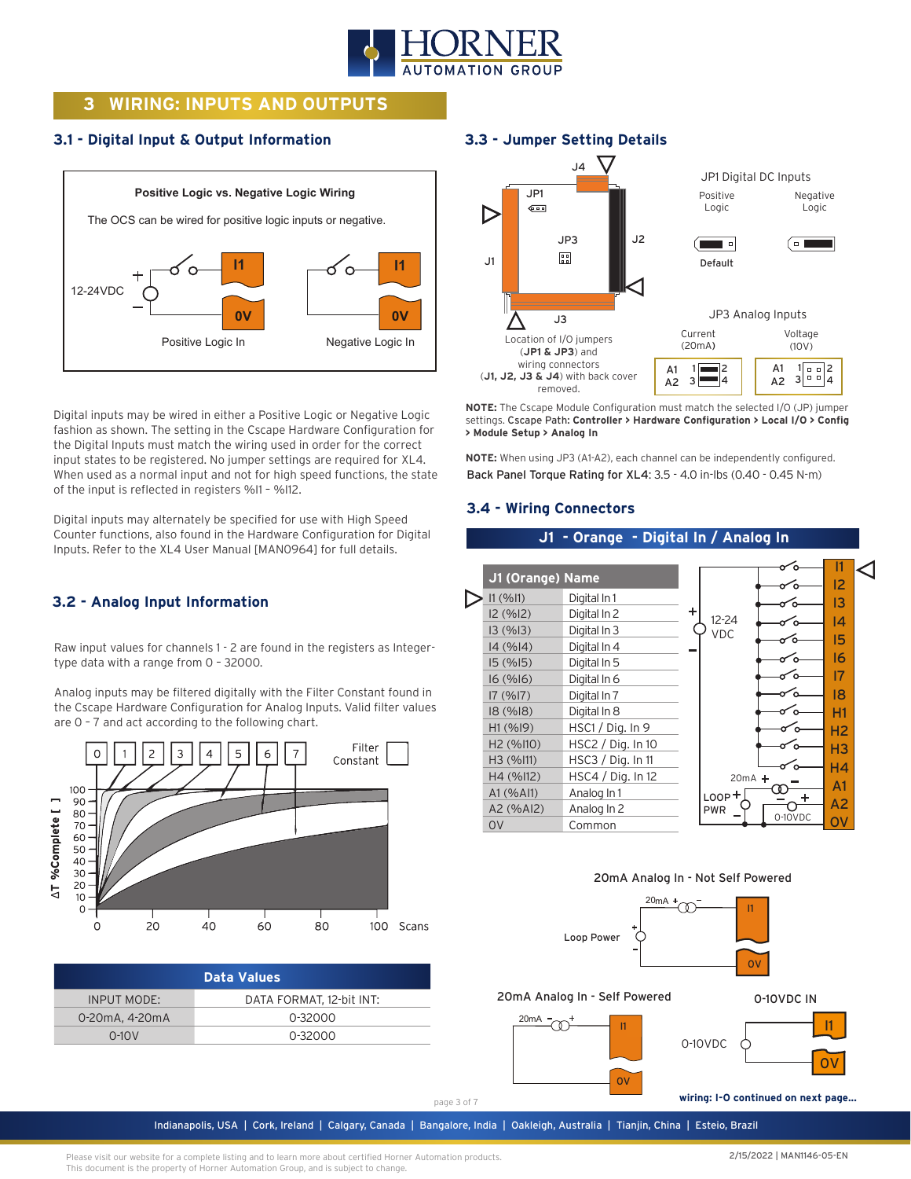

# **3 WIRING: INPUTS AND OUTPUTS**

## **3.1 - Digital Input & Output Information**



Digital inputs may be wired in either a Positive Logic or Negative Logic fashion as shown. The setting in the Cscape Hardware Configuration for the Digital Inputs must match the wiring used in order for the correct input states to be registered. No jumper settings are required for XL4. When used as a normal input and not for high speed functions, the state of the input is reflected in registers %I1 – %I12.

Digital inputs may alternately be specified for use with High Speed Counter functions, also found in the Hardware Configuration for Digital Inputs. Refer to the XL4 User Manual [MAN0964] for full details.

## **3.2 - Analog Input Information**

Raw input values for channels 1 - 2 are found in the registers as Integertype data with a range from 0 – 32000.

Analog inputs may be filtered digitally with the Filter Constant found in the Cscape Hardware Configuration for Analog Inputs. Valid filter values are 0 – 7 and act according to the following chart.



| <b>Data Values</b> |                          |  |
|--------------------|--------------------------|--|
| <b>INPUT MODE:</b> | DATA FORMAT. 12-bit INT: |  |
| 0-20mA, 4-20mA     | 0-32000                  |  |
| $0-10V$            | 0-32000                  |  |

## **3.3 - Jumper Setting Details**



**NOTE:** The Cscape Module Configuration must match the selected I/O (JP) jumper settings. Cscape Path: **Controller > Hardware Configuration > Local I/O > Config > Module Setup > Analog In**

**NOTE:** When using JP3 (A1-A2), each channel can be independently configured. Back Panel Torque Rating for XL4: 3.5 - 4.0 in-lbs (0.40 - 0.45 N-m)

## **3.4 - Wiring Connectors**

## **J1 - Orange - Digital In / Analog In**







### 20mA Analog In - Self Powered



Indianapolis, USA | Cork, Ireland | Calgary, Canada | Bangalore, India | Oakleigh, Australia | Tianjin, China | Esteio, Brazil

0-10VDC IN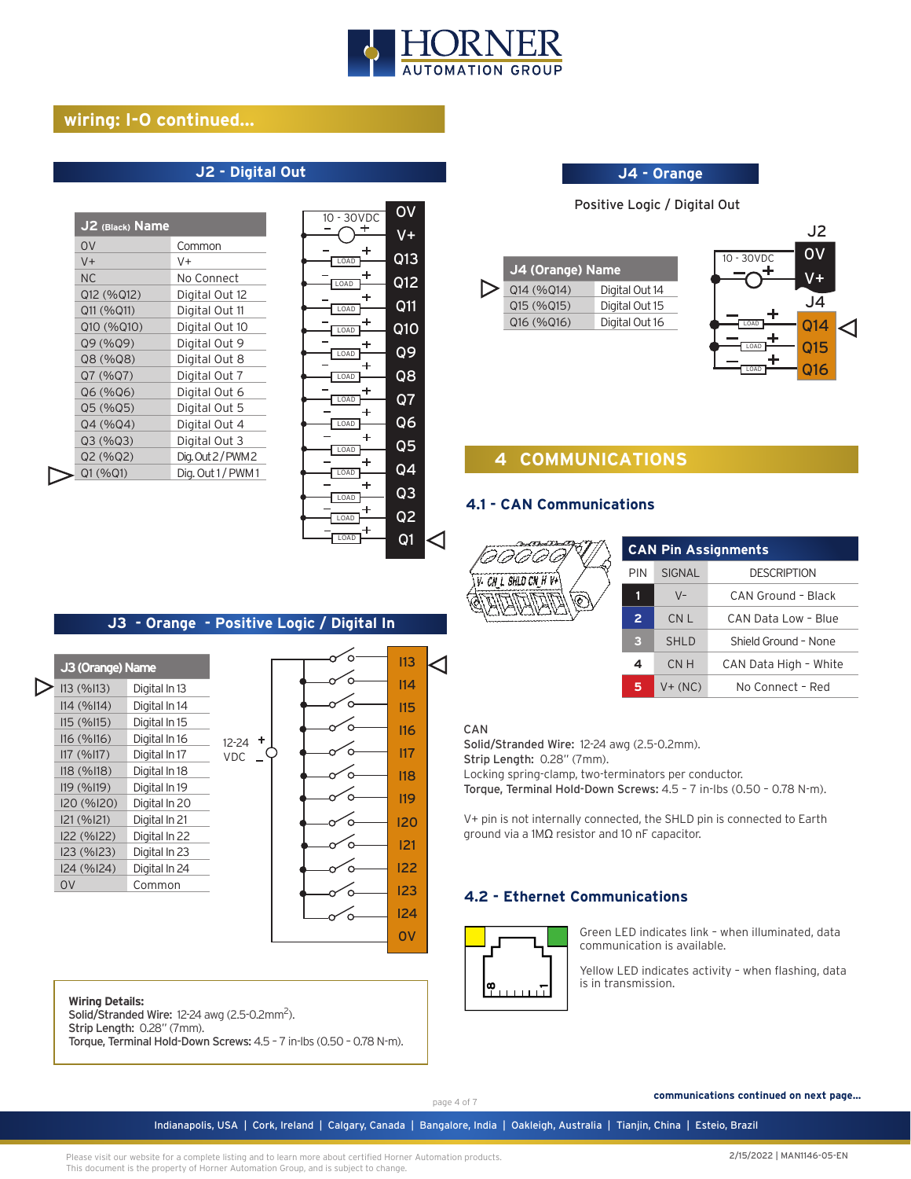

## **wiring: I-O continued...**

## **J2 - Digital Out**

| J2 (Black) Name |                   |
|-----------------|-------------------|
| 0V              | Common            |
| $V +$           | V+                |
| NС              | No Connect        |
| Q12 (%Q12)      | Digital Out 12    |
| Q11 (%Q11)      | Digital Out 11    |
| Q10 (%Q10)      | Digital Out 10    |
| Q9 (%Q9)        | Digital Out 9     |
| Q8 (%Q8)        | Digital Out 8     |
| Q7 (%Q7)        | Digital Out 7     |
| Q6 (%Q6)        | Digital Out 6     |
| Q5 (%Q5)        | Digital Out 5     |
| Q4 (%Q4)        | Digital Out 4     |
| Q3(%Q3)         | Digital Out 3     |
| Q2 (%Q2)        | Dig.Out 2/PWM2    |
| Q1(%Q1)         | Dig. Out 1 / PWM1 |
|                 |                   |

| ٠<br>V+<br>Q13<br>LOAD<br>Q12<br>OAD<br>+<br>Q11<br>LOAD<br>Q1O<br><b>LOAD</b><br>Q9<br><b>LOAD</b><br>۰<br>Q8<br>LOAD<br>Q7<br>LOAD<br>Ł<br>Q6<br>LOAD<br>$\ddot{}$<br>Q5<br>LOAD<br>٠<br>Q4<br>LOAD<br>÷<br>$\overline{Q3}$<br>LOAD<br>$\overline{Q}$<br>LOAD | 30VDC<br>10 <sup>1</sup> | OV |  |
|-----------------------------------------------------------------------------------------------------------------------------------------------------------------------------------------------------------------------------------------------------------------|--------------------------|----|--|
|                                                                                                                                                                                                                                                                 |                          |    |  |
|                                                                                                                                                                                                                                                                 |                          |    |  |
|                                                                                                                                                                                                                                                                 |                          |    |  |
|                                                                                                                                                                                                                                                                 |                          |    |  |
|                                                                                                                                                                                                                                                                 |                          |    |  |
|                                                                                                                                                                                                                                                                 |                          |    |  |
|                                                                                                                                                                                                                                                                 |                          |    |  |
|                                                                                                                                                                                                                                                                 |                          |    |  |
|                                                                                                                                                                                                                                                                 |                          |    |  |
|                                                                                                                                                                                                                                                                 |                          |    |  |
|                                                                                                                                                                                                                                                                 |                          |    |  |
|                                                                                                                                                                                                                                                                 |                          |    |  |
|                                                                                                                                                                                                                                                                 |                          |    |  |
|                                                                                                                                                                                                                                                                 | LOAD                     | Q1 |  |

### **J4 - Orange**

Positive Logic / Digital Out

| J4 (Orange) Name |                |  |
|------------------|----------------|--|
| Q14 (%Q14)       | Digital Out 14 |  |
| Q15 (%Q15)       | Digital Out 15 |  |
| Q16 (%Q16)       | Digital Out 16 |  |
|                  |                |  |



# **4 COMMUNICATIONS**

## **4.1 - CAN Communications**



| <b>CAN Pin Assignments</b> |               |                       |  |
|----------------------------|---------------|-----------------------|--|
| PIN                        | <b>SIGNAL</b> | <b>DESCRIPTION</b>    |  |
|                            | $V -$         | CAN Ground - Black    |  |
| $\overline{2}$             | CN L          | CAN Data Low - Blue   |  |
| з                          | <b>SHLD</b>   | Shield Ground - None  |  |
| 4                          | CMH           | CAN Data High - White |  |
| 5                          | $V + (NC)$    | No Connect - Red      |  |

#### CAN

I13 I14 I15 I16 I17 I18 I19 I20 I21 I22 I23 I24 0V

◁

ō

.<br>C

Solid/Stranded Wire: 12-24 awg (2.5-0.2mm).

Strip Length: 0.28" (7mm).

Locking spring-clamp, two-terminators per conductor.

Torque, Terminal Hold-Down Screws: 4.5 – 7 in-lbs (0.50 – 0.78 N-m).

V+ pin is not internally connected, the SHLD pin is connected to Earth ground via a 1MΩ resistor and 10 nF capacitor.

## **4.2 - Ethernet Communications**



Green LED indicates link – when illuminated, data communication is available.

Yellow LED indicates activity – when flashing, data is in transmission.

#### **Wiring Details:**

**J3 (Orange) Name**  $\sum$  113 (%113) Digital In 13 I14 (%I14) Digital In 14 I15 (%I15) Digital In 15 I16 (%I16) Digital In 16 I17 (%I17) Digital In 17 I18 (%I18) Digital In 18 I19 (%I19) Digital In 19 I20 (%I20) Digital In 20 I21 (%I21) Digital In 21 I22 (%I22) Digital In 22 I23 (%I23) Digital In 23 I24 (%I24) Digital In 24 0V Common

Solid/Stranded Wire: 12-24 awg (2.5-0.2mm<sup>2</sup>).

Strip Length: 0.28" (7mm).

Torque, Terminal Hold-Down Screws: 4.5 – 7 in-lbs (0.50 – 0.78 N-m).

 $12-24$  + VDC

**J3 - Orange - Positive Logic / Digital In**

page 4 of 7

 **communications continued on next page...**

Indianapolis, USA | Cork, Ireland | Calgary, Canada | Bangalore, India | Oakleigh, Australia | Tianjin, China | Esteio, Brazil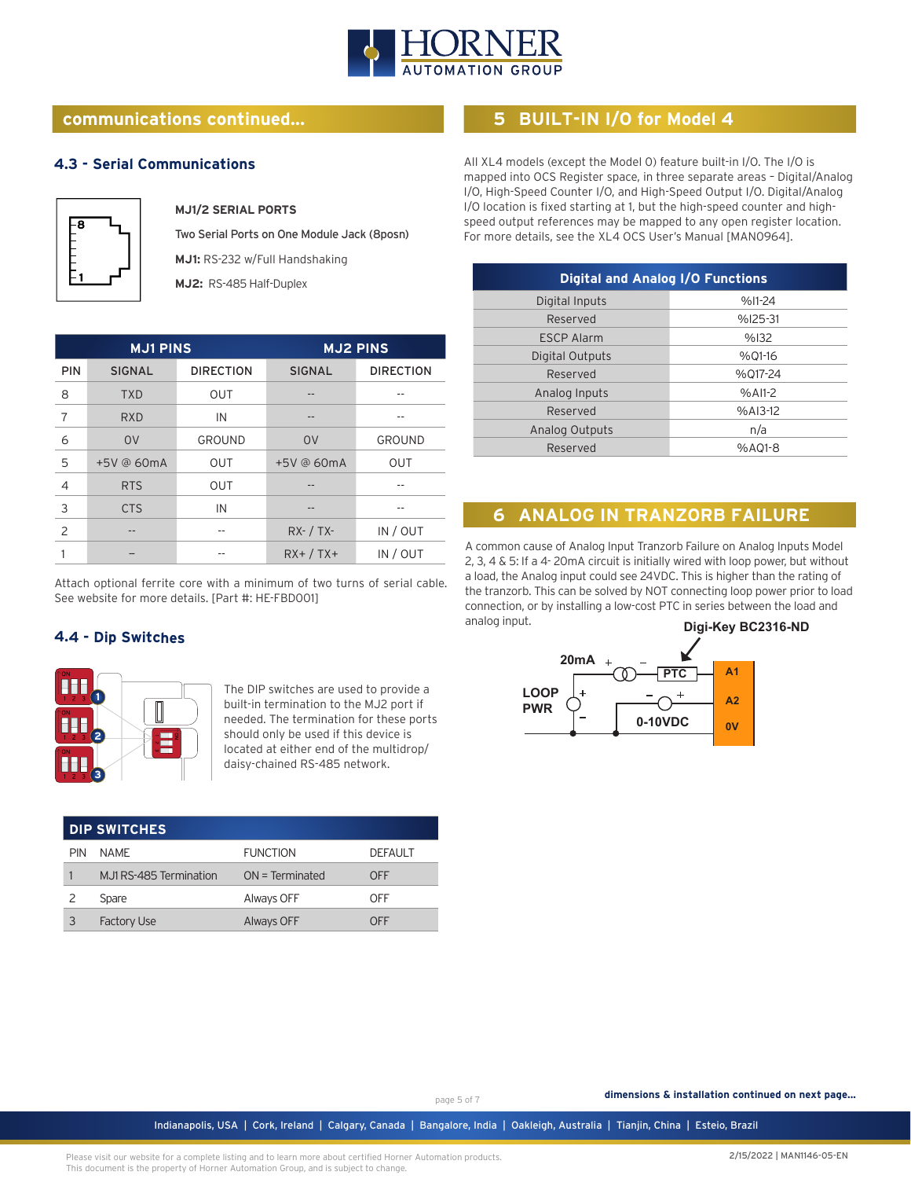

## **communications continued...**

## **4.3 - Serial Communications**



#### **MJ1/2 SERIAL PORTS**

Two Serial Ports on One Module Jack (8posn) **MJ1:** RS-232 w/Full Handshaking

**MJ2:** RS-485 Half-Duplex

| <b>MJ1 PINS</b> |               | <b>MJ2 PINS</b>  |               |                  |
|-----------------|---------------|------------------|---------------|------------------|
| <b>PIN</b>      | <b>SIGNAL</b> | <b>DIRECTION</b> | <b>SIGNAL</b> | <b>DIRECTION</b> |
| 8               | <b>TXD</b>    | <b>OUT</b>       |               |                  |
| 7               | <b>RXD</b>    | IN               |               |                  |
| 6               | <b>OV</b>     | GROUND           | <b>OV</b>     | <b>GROUND</b>    |
| 5               | +5V @ 60mA    | <b>OUT</b>       | +5V @ 60mA    | <b>OUT</b>       |
| $\overline{4}$  | <b>RTS</b>    | <b>OUT</b>       |               |                  |
| 3               | <b>CTS</b>    | IN               |               |                  |
| 2               |               |                  | $RX - / TX -$ | IN / OUT         |
|                 |               |                  | $RX+ / TX+$   | IN / OUT         |

Attach optional ferrite core with a minimum of two turns of serial cable. See website for more details. [Part #: HE-FBD001]

## **4.4 - Dip Switches**



The DIP switches are used to provide a built-in termination to the MJ2 port if needed. The termination for these ports should only be used if this device is located at either end of the multidrop/ daisy-chained RS-485 network.

| <b>DIP SWITCHES</b> |                         |                   |                |
|---------------------|-------------------------|-------------------|----------------|
| <b>PIN</b>          | <b>NAMF</b>             | <b>FUNCTION</b>   | <b>DEFAULT</b> |
|                     | M.J1 RS-485 Termination | $ON = Terminated$ | OFF            |
|                     | Spare                   | Always OFF        | OFF            |
|                     | <b>Factory Use</b>      | <b>Always OFF</b> | OFF            |

## **5 BUILT-IN I/O for Model 4**

All XL4 models (except the Model 0) feature built-in I/O. The I/O is mapped into OCS Register space, in three separate areas – Digital/Analog I/O, High-Speed Counter I/O, and High-Speed Output I/O. Digital/Analog I/O location is fixed starting at 1, but the high-speed counter and highspeed output references may be mapped to any open register location. For more details, see the XL4 OCS User's Manual [MAN0964].

| <b>Digital and Analog I/O Functions</b> |           |  |
|-----------------------------------------|-----------|--|
| Digital Inputs                          | $%11-24$  |  |
| Reserved                                | $%125-31$ |  |
| <b>ESCP Alarm</b>                       | %132      |  |
| Digital Outputs                         | %01-16    |  |
| Reserved                                | %017-24   |  |
| Analog Inputs                           | $%$ AI1-2 |  |
| Reserved                                | $%A13-12$ |  |
| Analog Outputs                          | n/a       |  |
| Reserved                                | %A01-8    |  |

# **6 ANALOG IN TRANZORB FAILURE**

A common cause of Analog Input Tranzorb Failure on Analog Inputs Model 2, 3, 4 & 5: If a 4- 20mA circuit is initially wired with loop power, but without a load, the Analog input could see 24VDC. This is higher than the rating of the tranzorb. This can be solved by NOT connecting loop power prior to load connection, or by installing a low-cost PTC in series between the load and analog input.



page 5 of 7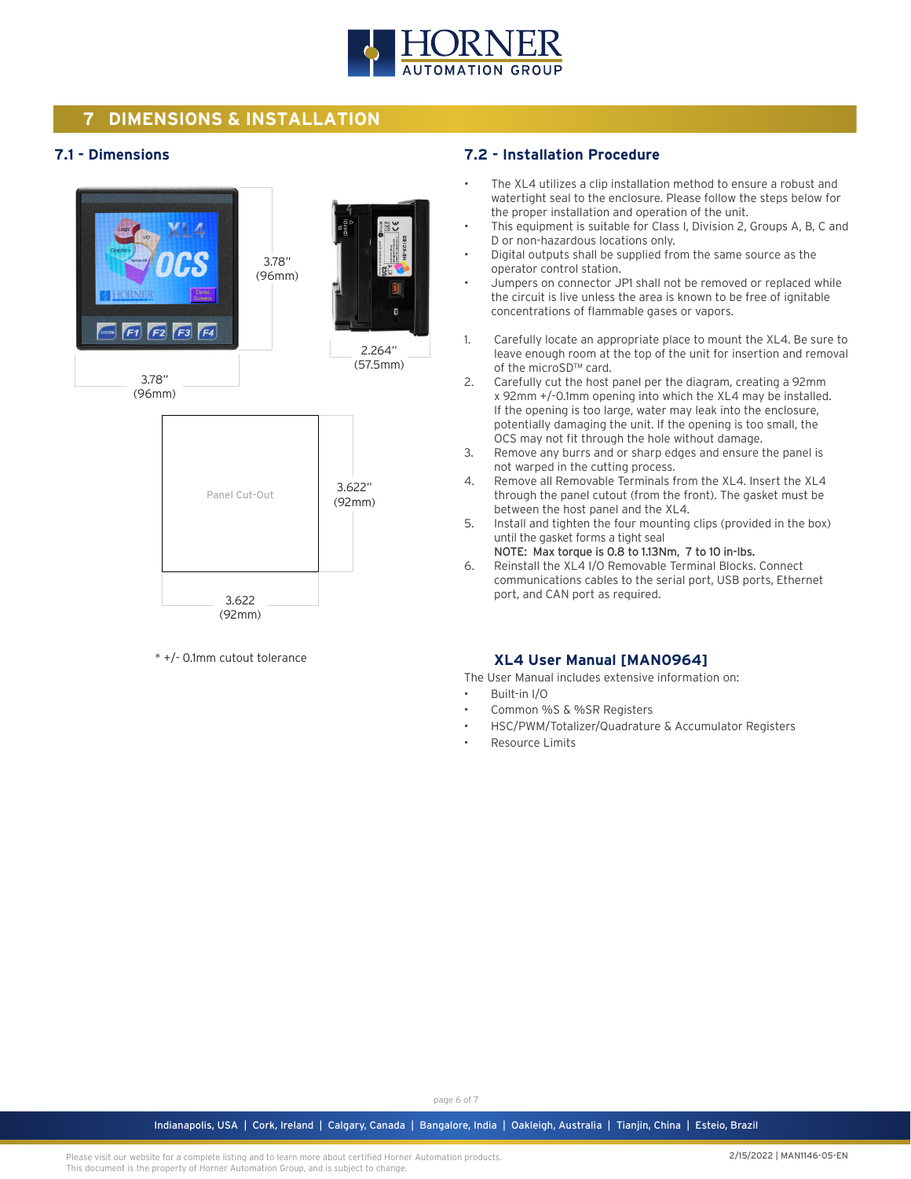

# **7 DIMENSIONS & INSTALLATION**

## **7.1 - Dimensions**



\* +/- 0.1mm cutout tolerance

#### **7.2 - Installation Procedure**

- The XL4 utilizes a clip installation method to ensure a robust and watertight seal to the enclosure. Please follow the steps below for the proper installation and operation of the unit.
- This equipment is suitable for Class I, Division 2, Groups A, B, C and D or non-hazardous locations only.
- Digital outputs shall be supplied from the same source as the operator control station.
- Jumpers on connector JP1 shall not be removed or replaced while the circuit is live unless the area is known to be free of ignitable concentrations of flammable gases or vapors.
- 1. Carefully locate an appropriate place to mount the XL4. Be sure to leave enough room at the top of the unit for insertion and removal of the microSD™ card.
- 2. Carefully cut the host panel per the diagram, creating a 92mm x 92mm +/-0.1mm opening into which the XL4 may be installed. If the opening is too large, water may leak into the enclosure, potentially damaging the unit. If the opening is too small, the OCS may not fit through the hole without damage.
- 3. Remove any burrs and or sharp edges and ensure the panel is not warped in the cutting process.
- 4. Remove all Removable Terminals from the XL4. Insert the XL4 through the panel cutout (from the front). The gasket must be between the host panel and the XL4.
- 5. Install and tighten the four mounting clips (provided in the box) until the gasket forms a tight seal
- NOTE: Max torque is 0.8 to 1.13Nm, 7 to 10 in-lbs. 6. Reinstall the XL4 I/O Removable Terminal Blocks. Connect communications cables to the serial port, USB ports, Ethernet port, and CAN port as required.

## **XL4 User Manual [MAN0964]**

The User Manual includes extensive information on:

- Built-in I/O
- Common %S & %SR Registers
- HSC/PWM/Totalizer/Quadrature & Accumulator Registers
- Resource Limits